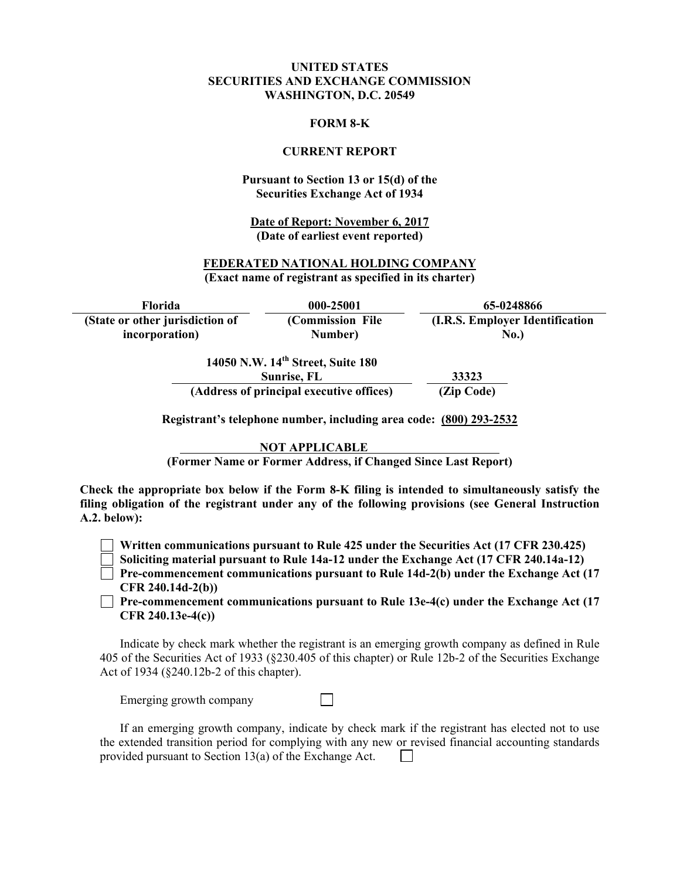#### **UNITED STATES SECURITIES AND EXCHANGE COMMISSION WASHINGTON, D.C. 20549**

#### **FORM 8-K**

#### **CURRENT REPORT**

#### **Pursuant to Section 13 or 15(d) of the Securities Exchange Act of 1934**

**Date of Report: November 6, 2017 (Date of earliest event reported)**

#### **FEDERATED NATIONAL HOLDING COMPANY (Exact name of registrant as specified in its charter)**

**Florida 000-25001 65-0248866 (State or other jurisdiction of incorporation) (Commission File Number) (I.R.S. Employer Identification No.)** 

> **14050 N.W. 14th Street, Suite 180 Sunrise, FL 33323 (Address of principal executive offices) (Zip Code)**

**Registrant's telephone number, including area code: (800) 293-2532** 

 **NOT APPLICABLE (Former Name or Former Address, if Changed Since Last Report)** 

**Check the appropriate box below if the Form 8-K filing is intended to simultaneously satisfy the filing obligation of the registrant under any of the following provisions (see General Instruction A.2. below):** 

**Written communications pursuant to Rule 425 under the Securities Act (17 CFR 230.425)** 

**Soliciting material pursuant to Rule 14a-12 under the Exchange Act (17 CFR 240.14a-12)**

**Pre-commencement communications pursuant to Rule 14d-2(b) under the Exchange Act (17 CFR 240.14d-2(b))**

**Pre-commencement communications pursuant to Rule 13e-4(c) under the Exchange Act (17 CFR 240.13e-4(c))** 

Indicate by check mark whether the registrant is an emerging growth company as defined in Rule 405 of the Securities Act of 1933 (§230.405 of this chapter) or Rule 12b-2 of the Securities Exchange Act of 1934 (§240.12b-2 of this chapter).

Emerging growth company

|                                                           | If an emerging growth company, indicate by check mark if the registrant has elected not to use      |
|-----------------------------------------------------------|-----------------------------------------------------------------------------------------------------|
|                                                           | the extended transition period for complying with any new or revised financial accounting standards |
| provided pursuant to Section $13(a)$ of the Exchange Act. |                                                                                                     |

 $\Box$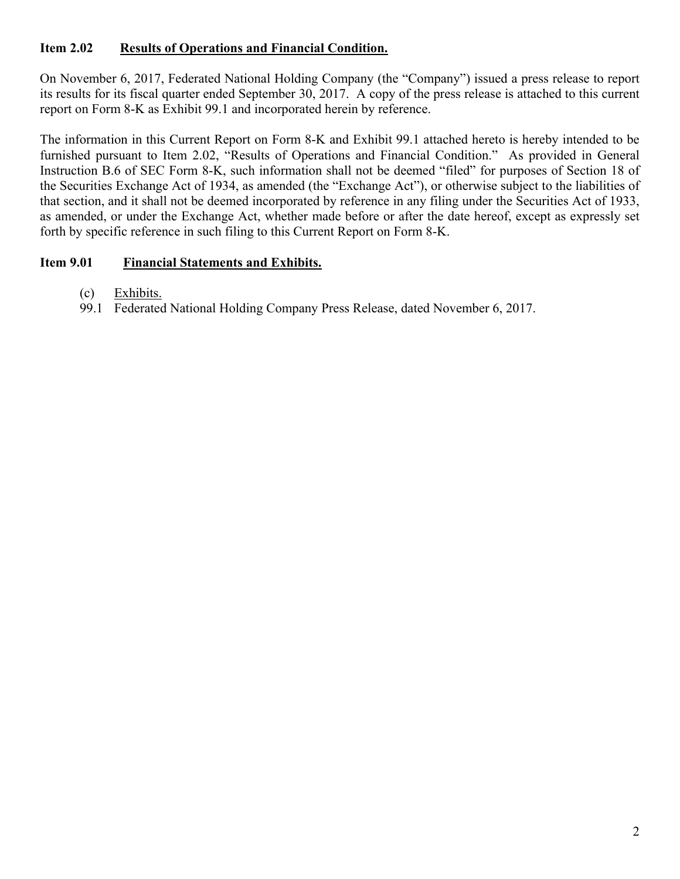## **Item 2.02 Results of Operations and Financial Condition.**

On November 6, 2017, Federated National Holding Company (the "Company") issued a press release to report its results for its fiscal quarter ended September 30, 2017. A copy of the press release is attached to this current report on Form 8-K as Exhibit 99.1 and incorporated herein by reference.

The information in this Current Report on Form 8-K and Exhibit 99.1 attached hereto is hereby intended to be furnished pursuant to Item 2.02, "Results of Operations and Financial Condition." As provided in General Instruction B.6 of SEC Form 8-K, such information shall not be deemed "filed" for purposes of Section 18 of the Securities Exchange Act of 1934, as amended (the "Exchange Act"), or otherwise subject to the liabilities of that section, and it shall not be deemed incorporated by reference in any filing under the Securities Act of 1933, as amended, or under the Exchange Act, whether made before or after the date hereof, except as expressly set forth by specific reference in such filing to this Current Report on Form 8-K.

## **Item 9.01 Financial Statements and Exhibits.**

- (c) Exhibits.
- 99.1 Federated National Holding Company Press Release, dated November 6, 2017.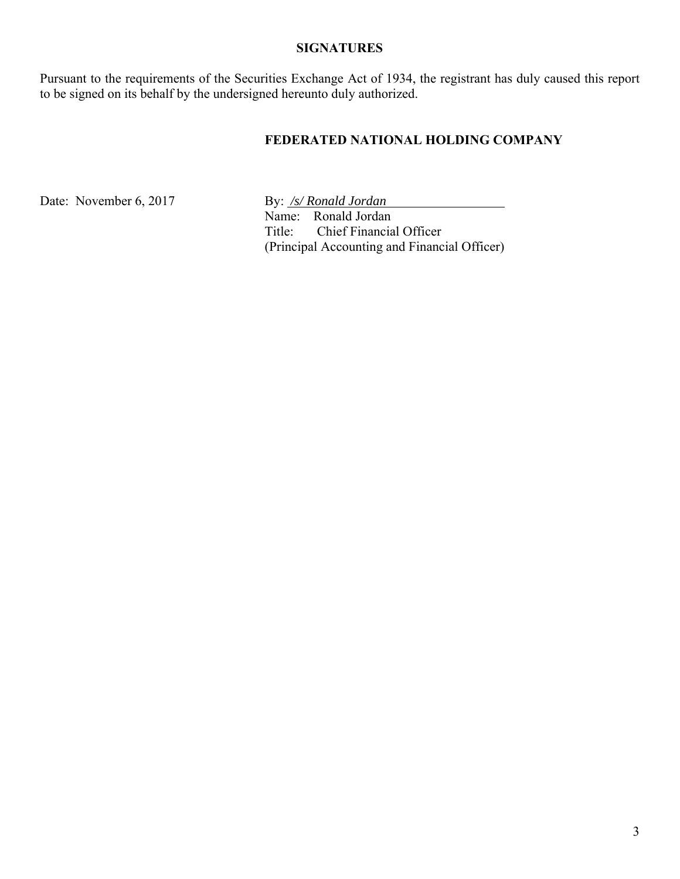#### **SIGNATURES**

Pursuant to the requirements of the Securities Exchange Act of 1934, the registrant has duly caused this report to be signed on its behalf by the undersigned hereunto duly authorized.

## **FEDERATED NATIONAL HOLDING COMPANY**

Date: November 6, 2017 By: */s/ Ronald Jordan* 

 Name: Ronald Jordan Title: Chief Financial Officer (Principal Accounting and Financial Officer)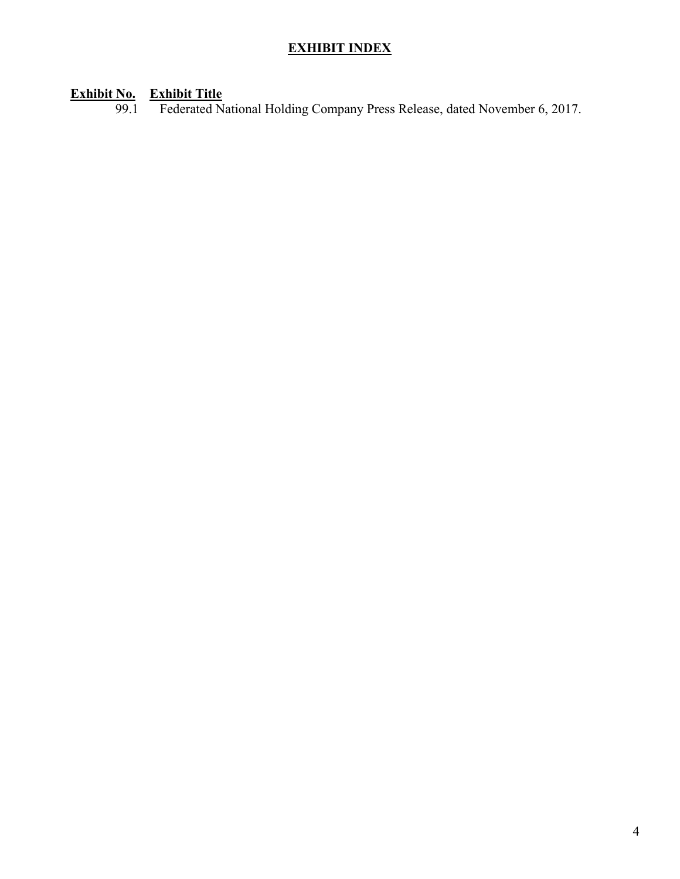# **EXHIBIT INDEX**

#### **Exhibit No. Exhibit Title**

99.1 Federated National Holding Company Press Release, dated November 6, 2017.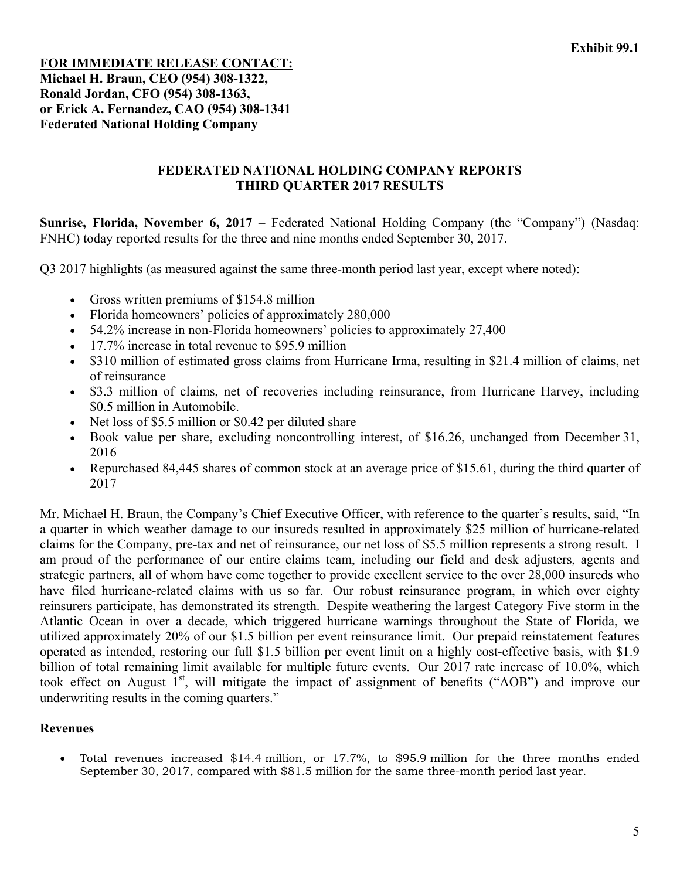**FOR IMMEDIATE RELEASE CONTACT: Michael H. Braun, CEO (954) 308-1322, Ronald Jordan, CFO (954) 308-1363, or Erick A. Fernandez, CAO (954) 308-1341 Federated National Holding Company** 

#### **FEDERATED NATIONAL HOLDING COMPANY REPORTS THIRD QUARTER 2017 RESULTS**

**Sunrise, Florida, November 6, 2017** – Federated National Holding Company (the "Company") (Nasdaq: FNHC) today reported results for the three and nine months ended September 30, 2017.

Q3 2017 highlights (as measured against the same three-month period last year, except where noted):

- Gross written premiums of \$154.8 million
- Florida homeowners' policies of approximately 280,000
- 54.2% increase in non-Florida homeowners' policies to approximately 27,400
- 17.7% increase in total revenue to \$95.9 million
- \$310 million of estimated gross claims from Hurricane Irma, resulting in \$21.4 million of claims, net of reinsurance
- \$3.3 million of claims, net of recoveries including reinsurance, from Hurricane Harvey, including \$0.5 million in Automobile.
- Net loss of \$5.5 million or \$0.42 per diluted share
- Book value per share, excluding noncontrolling interest, of \$16.26, unchanged from December 31, 2016
- Repurchased 84,445 shares of common stock at an average price of \$15.61, during the third quarter of 2017

Mr. Michael H. Braun, the Company's Chief Executive Officer, with reference to the quarter's results, said, "In a quarter in which weather damage to our insureds resulted in approximately \$25 million of hurricane-related claims for the Company, pre-tax and net of reinsurance, our net loss of \$5.5 million represents a strong result. I am proud of the performance of our entire claims team, including our field and desk adjusters, agents and strategic partners, all of whom have come together to provide excellent service to the over 28,000 insureds who have filed hurricane-related claims with us so far. Our robust reinsurance program, in which over eighty reinsurers participate, has demonstrated its strength. Despite weathering the largest Category Five storm in the Atlantic Ocean in over a decade, which triggered hurricane warnings throughout the State of Florida, we utilized approximately 20% of our \$1.5 billion per event reinsurance limit. Our prepaid reinstatement features operated as intended, restoring our full \$1.5 billion per event limit on a highly cost-effective basis, with \$1.9 billion of total remaining limit available for multiple future events. Our 2017 rate increase of 10.0%, which took effect on August 1<sup>st</sup>, will mitigate the impact of assignment of benefits ("AOB") and improve our underwriting results in the coming quarters."

#### **Revenues**

 Total revenues increased \$14.4 million, or 17.7%, to \$95.9 million for the three months ended September 30, 2017, compared with \$81.5 million for the same three-month period last year.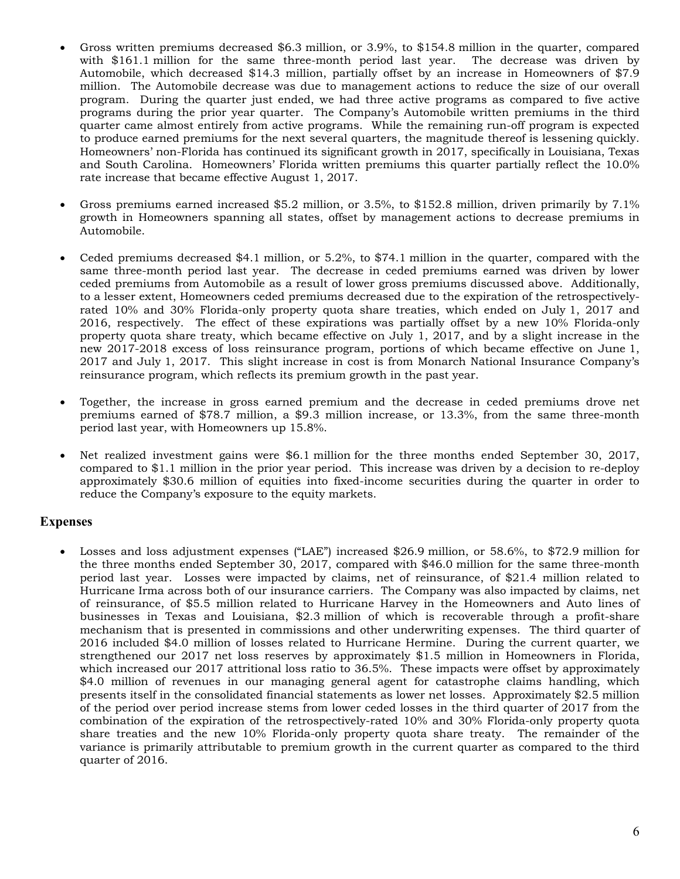- Gross written premiums decreased \$6.3 million, or 3.9%, to \$154.8 million in the quarter, compared with \$161.1 million for the same three-month period last year. The decrease was driven by Automobile, which decreased \$14.3 million, partially offset by an increase in Homeowners of \$7.9 million. The Automobile decrease was due to management actions to reduce the size of our overall program. During the quarter just ended, we had three active programs as compared to five active programs during the prior year quarter. The Company's Automobile written premiums in the third quarter came almost entirely from active programs. While the remaining run-off program is expected to produce earned premiums for the next several quarters, the magnitude thereof is lessening quickly. Homeowners' non-Florida has continued its significant growth in 2017, specifically in Louisiana, Texas and South Carolina. Homeowners' Florida written premiums this quarter partially reflect the 10.0% rate increase that became effective August 1, 2017.
- Gross premiums earned increased \$5.2 million, or 3.5%, to \$152.8 million, driven primarily by 7.1% growth in Homeowners spanning all states, offset by management actions to decrease premiums in Automobile.
- Ceded premiums decreased \$4.1 million, or 5.2%, to \$74.1 million in the quarter, compared with the same three-month period last year. The decrease in ceded premiums earned was driven by lower ceded premiums from Automobile as a result of lower gross premiums discussed above. Additionally, to a lesser extent, Homeowners ceded premiums decreased due to the expiration of the retrospectivelyrated 10% and 30% Florida-only property quota share treaties, which ended on July 1, 2017 and 2016, respectively. The effect of these expirations was partially offset by a new 10% Florida-only property quota share treaty, which became effective on July 1, 2017, and by a slight increase in the new 2017-2018 excess of loss reinsurance program, portions of which became effective on June 1, 2017 and July 1, 2017. This slight increase in cost is from Monarch National Insurance Company's reinsurance program, which reflects its premium growth in the past year.
- Together, the increase in gross earned premium and the decrease in ceded premiums drove net premiums earned of \$78.7 million, a \$9.3 million increase, or 13.3%, from the same three-month period last year, with Homeowners up 15.8%.
- Net realized investment gains were \$6.1 million for the three months ended September 30, 2017, compared to \$1.1 million in the prior year period. This increase was driven by a decision to re-deploy approximately \$30.6 million of equities into fixed-income securities during the quarter in order to reduce the Company's exposure to the equity markets.

#### **Expenses**

 Losses and loss adjustment expenses ("LAE") increased \$26.9 million, or 58.6%, to \$72.9 million for the three months ended September 30, 2017, compared with \$46.0 million for the same three-month period last year. Losses were impacted by claims, net of reinsurance, of \$21.4 million related to Hurricane Irma across both of our insurance carriers. The Company was also impacted by claims, net of reinsurance, of \$5.5 million related to Hurricane Harvey in the Homeowners and Auto lines of businesses in Texas and Louisiana, \$2.3 million of which is recoverable through a profit-share mechanism that is presented in commissions and other underwriting expenses. The third quarter of 2016 included \$4.0 million of losses related to Hurricane Hermine. During the current quarter, we strengthened our 2017 net loss reserves by approximately \$1.5 million in Homeowners in Florida, which increased our 2017 attritional loss ratio to 36.5%. These impacts were offset by approximately \$4.0 million of revenues in our managing general agent for catastrophe claims handling, which presents itself in the consolidated financial statements as lower net losses. Approximately \$2.5 million of the period over period increase stems from lower ceded losses in the third quarter of 2017 from the combination of the expiration of the retrospectively-rated 10% and 30% Florida-only property quota share treaties and the new 10% Florida-only property quota share treaty. The remainder of the variance is primarily attributable to premium growth in the current quarter as compared to the third quarter of 2016.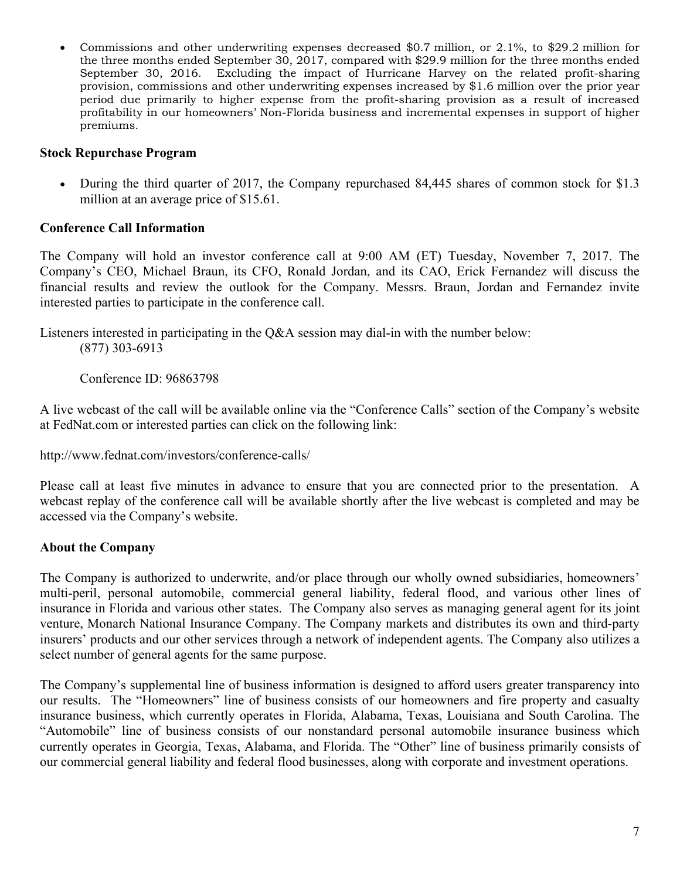Commissions and other underwriting expenses decreased \$0.7 million, or 2.1%, to \$29.2 million for the three months ended September  $30, 2017$ , compared with \$29.9 million for the three months ended September 30, 2016. Excluding the impact of Hurricane Harvey on the related profit-sharing provision, commissions and other underwriting expenses increased by \$1.6 million over the prior year period due primarily to higher expense from the profit-sharing provision as a result of increased profitability in our homeowners' Non-Florida business and incremental expenses in support of higher premiums.

## **Stock Repurchase Program**

• During the third quarter of 2017, the Company repurchased 84,445 shares of common stock for \$1.3 million at an average price of \$15.61.

## **Conference Call Information**

The Company will hold an investor conference call at 9:00 AM (ET) Tuesday, November 7, 2017. The Company's CEO, Michael Braun, its CFO, Ronald Jordan, and its CAO, Erick Fernandez will discuss the financial results and review the outlook for the Company. Messrs. Braun, Jordan and Fernandez invite interested parties to participate in the conference call.

Listeners interested in participating in the Q&A session may dial-in with the number below: (877) 303-6913

Conference ID: 96863798

A live webcast of the call will be available online via the "Conference Calls" section of the Company's website at FedNat.com or interested parties can click on the following link:

http://www.fednat.com/investors/conference-calls/

Please call at least five minutes in advance to ensure that you are connected prior to the presentation. A webcast replay of the conference call will be available shortly after the live webcast is completed and may be accessed via the Company's website.

## **About the Company**

The Company is authorized to underwrite, and/or place through our wholly owned subsidiaries, homeowners' multi-peril, personal automobile, commercial general liability, federal flood, and various other lines of insurance in Florida and various other states. The Company also serves as managing general agent for its joint venture, Monarch National Insurance Company. The Company markets and distributes its own and third-party insurers' products and our other services through a network of independent agents. The Company also utilizes a select number of general agents for the same purpose.

The Company's supplemental line of business information is designed to afford users greater transparency into our results. The "Homeowners" line of business consists of our homeowners and fire property and casualty insurance business, which currently operates in Florida, Alabama, Texas, Louisiana and South Carolina. The "Automobile" line of business consists of our nonstandard personal automobile insurance business which currently operates in Georgia, Texas, Alabama, and Florida. The "Other" line of business primarily consists of our commercial general liability and federal flood businesses, along with corporate and investment operations.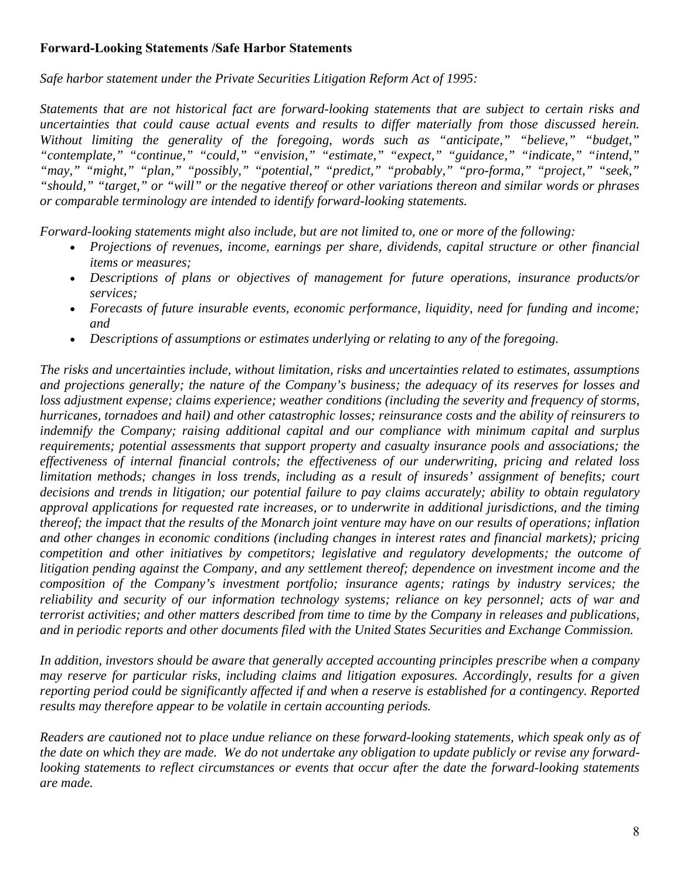## **Forward-Looking Statements /Safe Harbor Statements**

*Safe harbor statement under the Private Securities Litigation Reform Act of 1995:* 

*Statements that are not historical fact are forward-looking statements that are subject to certain risks and uncertainties that could cause actual events and results to differ materially from those discussed herein. Without limiting the generality of the foregoing, words such as "anticipate," "believe," "budget," "contemplate," "continue," "could," "envision," "estimate," "expect," "guidance," "indicate," "intend," "may," "might," "plan," "possibly," "potential," "predict," "probably," "pro-forma," "project," "seek," "should," "target," or "will" or the negative thereof or other variations thereon and similar words or phrases or comparable terminology are intended to identify forward-looking statements.* 

*Forward-looking statements might also include, but are not limited to, one or more of the following:* 

- *Projections of revenues, income, earnings per share, dividends, capital structure or other financial items or measures;*
- *Descriptions of plans or objectives of management for future operations, insurance products/or services;*
- *Forecasts of future insurable events, economic performance, liquidity, need for funding and income; and*
- *Descriptions of assumptions or estimates underlying or relating to any of the foregoing.*

*The risks and uncertainties include, without limitation, risks and uncertainties related to estimates, assumptions and projections generally; the nature of the Company's business; the adequacy of its reserves for losses and loss adjustment expense; claims experience; weather conditions (including the severity and frequency of storms, hurricanes, tornadoes and hail) and other catastrophic losses; reinsurance costs and the ability of reinsurers to indemnify the Company; raising additional capital and our compliance with minimum capital and surplus requirements; potential assessments that support property and casualty insurance pools and associations; the effectiveness of internal financial controls; the effectiveness of our underwriting, pricing and related loss limitation methods; changes in loss trends, including as a result of insureds' assignment of benefits; court decisions and trends in litigation; our potential failure to pay claims accurately; ability to obtain regulatory approval applications for requested rate increases, or to underwrite in additional jurisdictions, and the timing thereof; the impact that the results of the Monarch joint venture may have on our results of operations; inflation and other changes in economic conditions (including changes in interest rates and financial markets); pricing competition and other initiatives by competitors; legislative and regulatory developments; the outcome of litigation pending against the Company, and any settlement thereof; dependence on investment income and the composition of the Company's investment portfolio; insurance agents; ratings by industry services; the reliability and security of our information technology systems; reliance on key personnel; acts of war and terrorist activities; and other matters described from time to time by the Company in releases and publications, and in periodic reports and other documents filed with the United States Securities and Exchange Commission.* 

*In addition, investors should be aware that generally accepted accounting principles prescribe when a company may reserve for particular risks, including claims and litigation exposures. Accordingly, results for a given reporting period could be significantly affected if and when a reserve is established for a contingency. Reported results may therefore appear to be volatile in certain accounting periods.* 

*Readers are cautioned not to place undue reliance on these forward-looking statements, which speak only as of the date on which they are made. We do not undertake any obligation to update publicly or revise any forwardlooking statements to reflect circumstances or events that occur after the date the forward-looking statements are made.*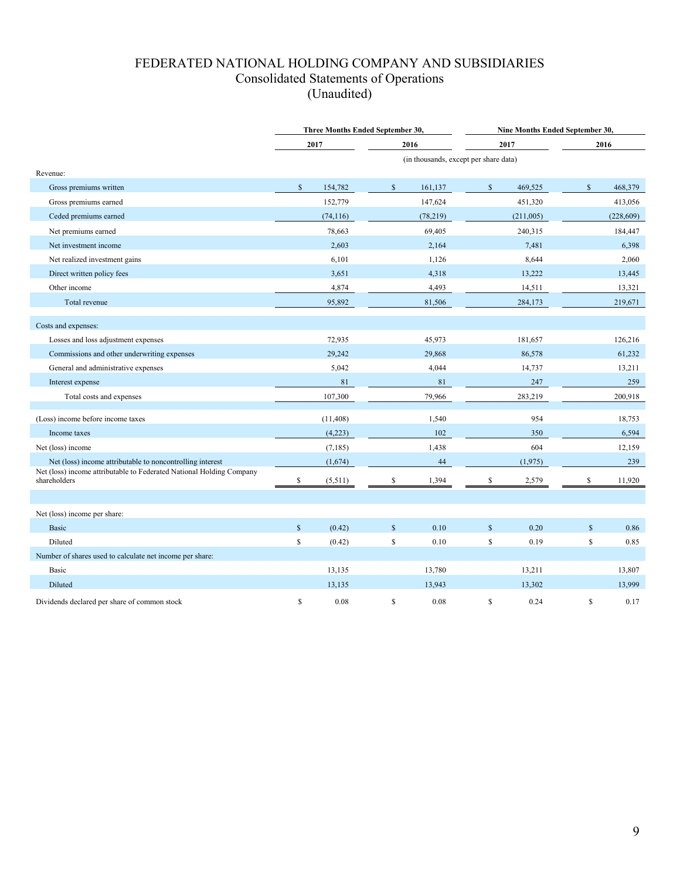## FEDERATED NATIONAL HOLDING COMPANY AND SUBSIDIARIES Consolidated Statements of Operations (Unaudited)

|                                                                                      |              | Three Months Ended September 30, |              |                                       |              | Nine Months Ended September 30, |               |            |
|--------------------------------------------------------------------------------------|--------------|----------------------------------|--------------|---------------------------------------|--------------|---------------------------------|---------------|------------|
|                                                                                      |              | 2017                             |              | 2016                                  |              | 2017                            |               | 2016       |
|                                                                                      |              |                                  |              | (in thousands, except per share data) |              |                                 |               |            |
| Revenue:                                                                             |              |                                  |              |                                       |              |                                 |               |            |
| Gross premiums written                                                               | $\mathbf S$  | 154,782                          | $\mathbb{S}$ | 161,137                               | \$           | 469,525                         | $\mathbb{S}$  | 468,379    |
| Gross premiums earned                                                                |              | 152,779                          |              | 147,624                               |              | 451,320                         |               | 413,056    |
| Ceded premiums earned                                                                |              | (74, 116)                        |              | (78, 219)                             |              | (211,005)                       |               | (228, 609) |
| Net premiums earned                                                                  |              | 78,663                           |              | 69,405                                |              | 240,315                         |               | 184,447    |
| Net investment income                                                                |              | 2,603                            |              | 2,164                                 |              | 7,481                           |               | 6,398      |
| Net realized investment gains                                                        |              | 6,101                            |              | 1,126                                 |              | 8,644                           |               | 2,060      |
| Direct written policy fees                                                           |              | 3,651                            |              | 4,318                                 |              | 13,222                          |               | 13,445     |
| Other income                                                                         |              | 4,874                            |              | 4,493                                 |              | 14,511                          |               | 13,321     |
| Total revenue                                                                        |              | 95,892                           |              | 81,506                                |              | 284,173                         |               | 219,671    |
|                                                                                      |              |                                  |              |                                       |              |                                 |               |            |
| Costs and expenses:                                                                  |              |                                  |              |                                       |              |                                 |               |            |
| Losses and loss adjustment expenses                                                  |              | 72,935                           |              | 45,973                                |              | 181,657                         |               | 126,216    |
| Commissions and other underwriting expenses                                          |              | 29,242                           |              | 29,868                                |              | 86,578                          |               | 61,232     |
| General and administrative expenses                                                  |              | 5,042                            |              | 4,044                                 |              | 14,737                          |               | 13,211     |
| Interest expense                                                                     |              | 81                               |              | 81                                    |              | 247                             |               | 259        |
| Total costs and expenses                                                             |              | 107,300                          |              | 79,966                                |              | 283,219                         |               | 200,918    |
| (Loss) income before income taxes                                                    |              | (11, 408)                        |              | 1,540                                 |              | 954                             |               | 18,753     |
| Income taxes                                                                         |              | (4,223)                          |              | 102                                   |              | 350                             |               | 6,594      |
| Net (loss) income                                                                    |              | (7, 185)                         |              | 1,438                                 |              | 604                             |               | 12,159     |
| Net (loss) income attributable to noncontrolling interest                            |              | (1,674)                          |              | 44                                    |              | (1,975)                         |               | 239        |
| Net (loss) income attributable to Federated National Holding Company<br>shareholders | -S           | (5,511)                          |              | 1,394                                 |              | 2,579                           |               | 11,920     |
|                                                                                      |              |                                  |              |                                       |              |                                 |               |            |
| Net (loss) income per share:                                                         |              |                                  |              |                                       |              |                                 |               |            |
| <b>Basic</b>                                                                         | $\mathbb{S}$ | (0.42)                           | $\mathbb{S}$ | 0.10                                  | $\mathbb{S}$ | 0.20                            | $\mathsf{\$}$ | 0.86       |
| Diluted                                                                              | \$           | (0.42)                           | \$           | 0.10                                  | \$           | 0.19                            | \$            | 0.85       |
| Number of shares used to calculate net income per share:                             |              |                                  |              |                                       |              |                                 |               |            |
| Basic                                                                                |              | 13,135                           |              | 13,780                                |              | 13,211                          |               | 13,807     |
| Diluted                                                                              |              | 13,135                           |              | 13,943                                |              | 13,302                          |               | 13,999     |
| Dividends declared per share of common stock                                         | \$           | 0.08                             | \$           | 0.08                                  | \$           | 0.24                            | \$            | 0.17       |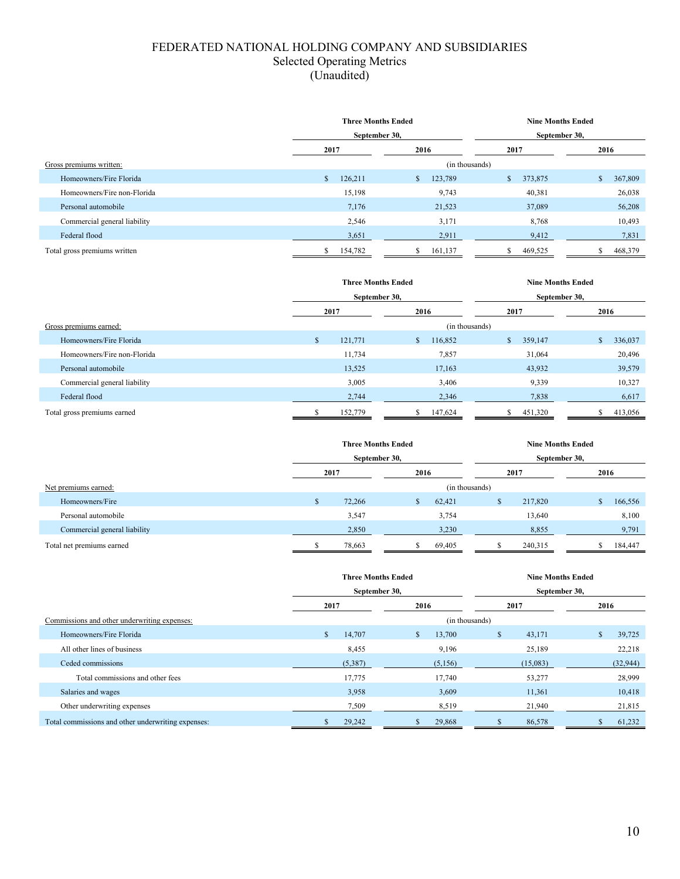#### FEDERATED NATIONAL HOLDING COMPANY AND SUBSIDIARIES Selected Operating Metrics (Unaudited)

|                              | <b>Three Months Ended</b> |                | <b>Nine Months Ended</b> |               |  |  |
|------------------------------|---------------------------|----------------|--------------------------|---------------|--|--|
|                              | September 30,             |                | September 30,            |               |  |  |
|                              | 2017                      | 2016           | 2017                     | 2016          |  |  |
| Gross premiums written:      |                           | (in thousands) |                          |               |  |  |
| Homeowners/Fire Florida      | 126,211<br>$\mathbb{S}$   | 123,789<br>\$  | 373,875<br>$\mathbb{S}$  | 367,809<br>\$ |  |  |
| Homeowners/Fire non-Florida  | 15,198                    | 9,743          | 40,381                   | 26,038        |  |  |
| Personal automobile          | 7,176                     | 21,523         | 37,089                   | 56,208        |  |  |
| Commercial general liability | 2,546                     | 3,171          | 8,768                    | 10,493        |  |  |
| Federal flood                | 3,651                     | 2,911          | 9,412                    | 7,831         |  |  |
| Total gross premiums written | 154,782<br>\$             | 161,137        | 469,525                  | 468,379<br>ъ. |  |  |

|                              |              | <b>Three Months Ended</b> |              |         | <b>Nine Months Ended</b> |         |               |         |
|------------------------------|--------------|---------------------------|--------------|---------|--------------------------|---------|---------------|---------|
|                              |              | September 30,             |              |         |                          |         | September 30, |         |
|                              |              | 2017                      |              | 2016    |                          | 2017    |               | 2016    |
| Gross premiums earned:       |              |                           |              |         | (in thousands)           |         |               |         |
| Homeowners/Fire Florida      | $\mathbb{S}$ | 121,771                   | $\mathbb{S}$ | 116,852 | S.                       | 359,147 | \$            | 336,037 |
| Homeowners/Fire non-Florida  |              | 11,734                    |              | 7,857   |                          | 31,064  |               | 20,496  |
| Personal automobile          |              | 13,525                    |              | 17,163  |                          | 43,932  |               | 39,579  |
| Commercial general liability |              | 3,005                     |              | 3,406   |                          | 9,339   |               | 10,327  |
| Federal flood                |              | 2,744                     |              | 2,346   |                          | 7,838   |               | 6,617   |
| Total gross premiums earned  | S            | 152,779                   | S            | 147,624 | S.                       | 451,320 | \$            | 413,056 |

|                              | <b>Three Months Ended</b> |               |   |                |   | <b>Nine Months Ended</b> |      |         |  |
|------------------------------|---------------------------|---------------|---|----------------|---|--------------------------|------|---------|--|
|                              |                           | September 30, |   |                |   | September 30,            |      |         |  |
|                              | 2017<br>2016              |               |   | 2017           |   |                          | 2016 |         |  |
| Net premiums earned:         |                           |               |   | (in thousands) |   |                          |      |         |  |
| Homeowners/Fire              |                           | 72,266        | S | 62,421         | ъ | 217,820                  |      | 166,556 |  |
| Personal automobile          |                           | 3,547         |   | 3,754          |   | 13,640                   |      | 8,100   |  |
| Commercial general liability |                           | 2,850         |   | 3,230          |   | 8,855                    |      | 9,791   |  |
| Total net premiums earned    |                           | 78,663        |   | 69,405         |   | 240,315                  |      | 184,447 |  |

|                                                    | <b>Three Months Ended</b> |               |          |                | <b>Nine Months Ended</b> |          |      |           |
|----------------------------------------------------|---------------------------|---------------|----------|----------------|--------------------------|----------|------|-----------|
|                                                    |                           | September 30, |          |                | September 30,            |          |      |           |
|                                                    | 2017                      |               | 2016     |                |                          | 2017     | 2016 |           |
| Commissions and other underwriting expenses:       |                           |               |          | (in thousands) |                          |          |      |           |
| Homeowners/Fire Florida                            | \$                        | 14,707        | S.       | 13,700         | <sup>\$</sup>            | 43,171   |      | 39,725    |
| All other lines of business                        |                           | 8,455         |          | 9,196          |                          | 25,189   |      | 22,218    |
| Ceded commissions                                  |                           | (5,387)       |          | (5,156)        |                          | (15,083) |      | (32, 944) |
| Total commissions and other fees                   |                           | 17,775        |          | 17,740         |                          | 53,277   |      | 28,999    |
| Salaries and wages                                 |                           | 3,958         |          | 3,609          |                          | 11,361   |      | 10,418    |
| Other underwriting expenses                        |                           | 7,509         |          | 8,519          |                          | 21,940   |      | 21,815    |
| Total commissions and other underwriting expenses: |                           | 29,242        | <b>S</b> | 29,868         |                          | 86,578   |      | 61,232    |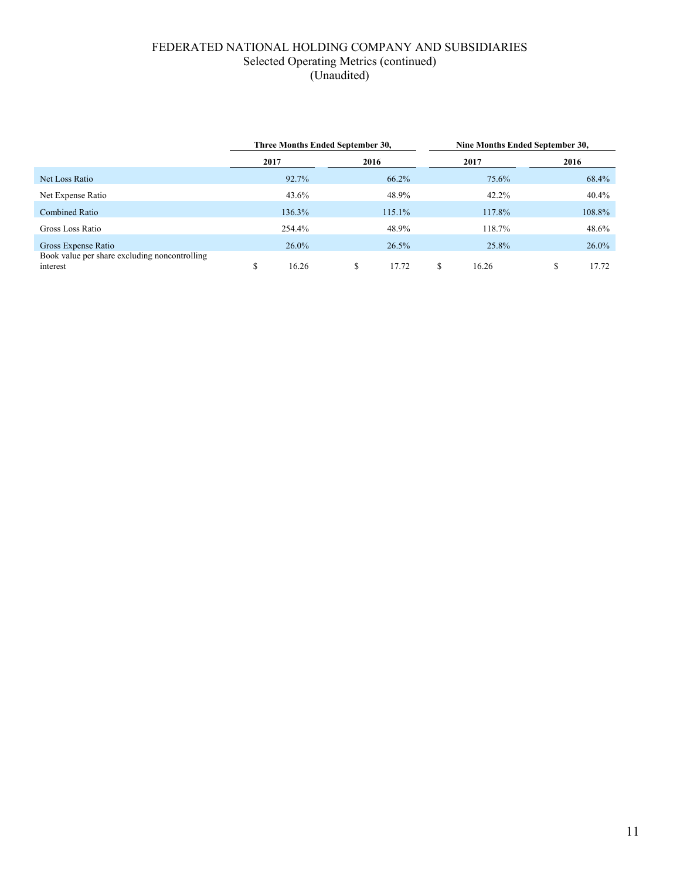#### FEDERATED NATIONAL HOLDING COMPANY AND SUBSIDIARIES Selected Operating Metrics (continued) (Unaudited)

|                                                           |      | Three Months Ended September 30, |   |              | Nine Months Ended September 30, |        |      |          |  |
|-----------------------------------------------------------|------|----------------------------------|---|--------------|---------------------------------|--------|------|----------|--|
|                                                           | 2017 |                                  |   | 2016<br>2017 |                                 |        | 2016 |          |  |
| Net Loss Ratio                                            |      | 92.7%                            |   | 66.2%        |                                 | 75.6%  |      | 68.4%    |  |
| Net Expense Ratio                                         |      | 43.6%                            |   | 48.9%        |                                 | 42.2%  |      | 40.4%    |  |
| Combined Ratio                                            |      | 136.3%                           |   | 115.1%       |                                 | 117.8% |      | 108.8%   |  |
| Gross Loss Ratio                                          |      | 254.4%                           |   | 48.9%        |                                 | 118.7% |      | 48.6%    |  |
| Gross Expense Ratio                                       |      | $26.0\%$                         |   | 26.5%        |                                 | 25.8%  |      | $26.0\%$ |  |
| Book value per share excluding noncontrolling<br>interest | \$   | 16.26                            | S | 17.72        | \$                              | 16.26  |      | 17.72    |  |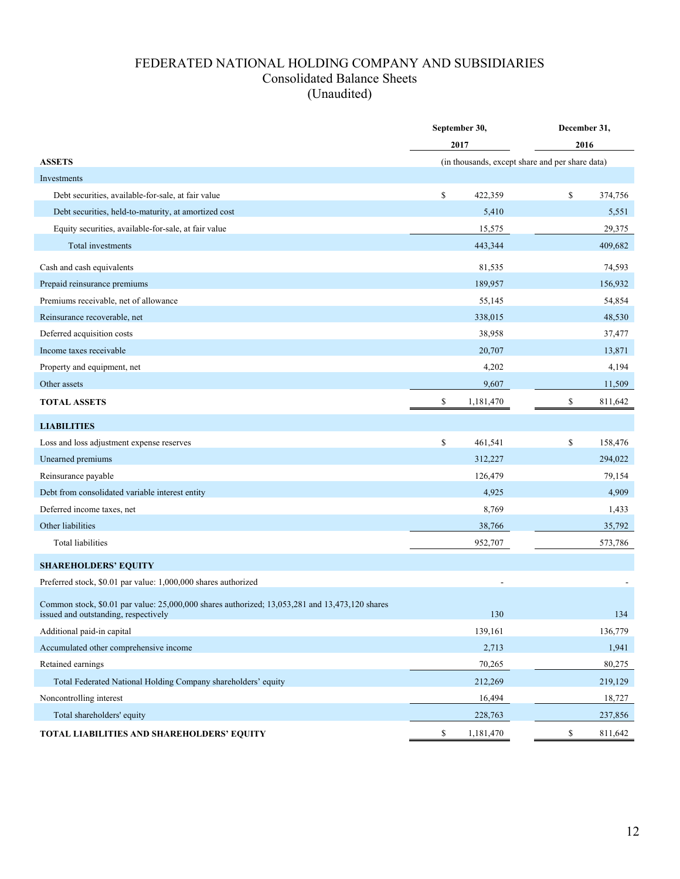## FEDERATED NATIONAL HOLDING COMPANY AND SUBSIDIARIES Consolidated Balance Sheets (Unaudited)

|                                                                                                                                        | September 30, |           | December 31,                                    |         |  |
|----------------------------------------------------------------------------------------------------------------------------------------|---------------|-----------|-------------------------------------------------|---------|--|
|                                                                                                                                        | 2017          |           | 2016                                            |         |  |
| <b>ASSETS</b>                                                                                                                          |               |           | (in thousands, except share and per share data) |         |  |
| Investments                                                                                                                            |               |           |                                                 |         |  |
| Debt securities, available-for-sale, at fair value                                                                                     | $\mathbb S$   | 422,359   | \$                                              | 374,756 |  |
| Debt securities, held-to-maturity, at amortized cost                                                                                   |               | 5,410     |                                                 | 5,551   |  |
| Equity securities, available-for-sale, at fair value                                                                                   |               | 15,575    |                                                 | 29,375  |  |
| Total investments                                                                                                                      |               | 443,344   |                                                 | 409,682 |  |
| Cash and cash equivalents                                                                                                              |               | 81,535    |                                                 | 74,593  |  |
| Prepaid reinsurance premiums                                                                                                           |               | 189,957   |                                                 | 156,932 |  |
| Premiums receivable, net of allowance                                                                                                  |               | 55,145    |                                                 | 54,854  |  |
| Reinsurance recoverable, net                                                                                                           |               | 338,015   |                                                 | 48,530  |  |
| Deferred acquisition costs                                                                                                             |               | 38,958    |                                                 | 37,477  |  |
| Income taxes receivable                                                                                                                |               | 20,707    |                                                 | 13,871  |  |
| Property and equipment, net                                                                                                            |               | 4,202     |                                                 | 4,194   |  |
| Other assets                                                                                                                           |               | 9,607     |                                                 | 11,509  |  |
| <b>TOTAL ASSETS</b>                                                                                                                    | \$            | 1,181,470 | \$                                              | 811,642 |  |
| <b>LIABILITIES</b>                                                                                                                     |               |           |                                                 |         |  |
| Loss and loss adjustment expense reserves                                                                                              | \$            | 461,541   | \$                                              | 158,476 |  |
| Unearned premiums                                                                                                                      |               | 312,227   |                                                 | 294,022 |  |
| Reinsurance payable                                                                                                                    |               | 126,479   |                                                 | 79,154  |  |
| Debt from consolidated variable interest entity                                                                                        |               | 4,925     |                                                 | 4,909   |  |
| Deferred income taxes, net                                                                                                             |               | 8,769     |                                                 | 1,433   |  |
| Other liabilities                                                                                                                      |               | 38,766    |                                                 | 35,792  |  |
| Total liabilities                                                                                                                      |               | 952,707   |                                                 | 573,786 |  |
| <b>SHAREHOLDERS' EQUITY</b>                                                                                                            |               |           |                                                 |         |  |
| Preferred stock, \$0.01 par value: 1,000,000 shares authorized                                                                         |               |           |                                                 |         |  |
| Common stock, \$0.01 par value: 25,000,000 shares authorized; 13,053,281 and 13,473,120 shares<br>issued and outstanding, respectively |               | 130       |                                                 | 134     |  |
| Additional paid-in capital                                                                                                             |               | 139,161   |                                                 | 136,779 |  |
| Accumulated other comprehensive income                                                                                                 |               | 2,713     |                                                 | 1,941   |  |
| Retained earnings                                                                                                                      |               | 70,265    |                                                 | 80,275  |  |
| Total Federated National Holding Company shareholders' equity                                                                          |               | 212,269   |                                                 | 219,129 |  |
| Noncontrolling interest                                                                                                                |               | 16,494    |                                                 | 18,727  |  |
| Total shareholders' equity                                                                                                             |               | 228,763   |                                                 | 237,856 |  |
| TOTAL LIABILITIES AND SHAREHOLDERS' EQUITY                                                                                             | \$            | 1,181,470 | \$                                              | 811,642 |  |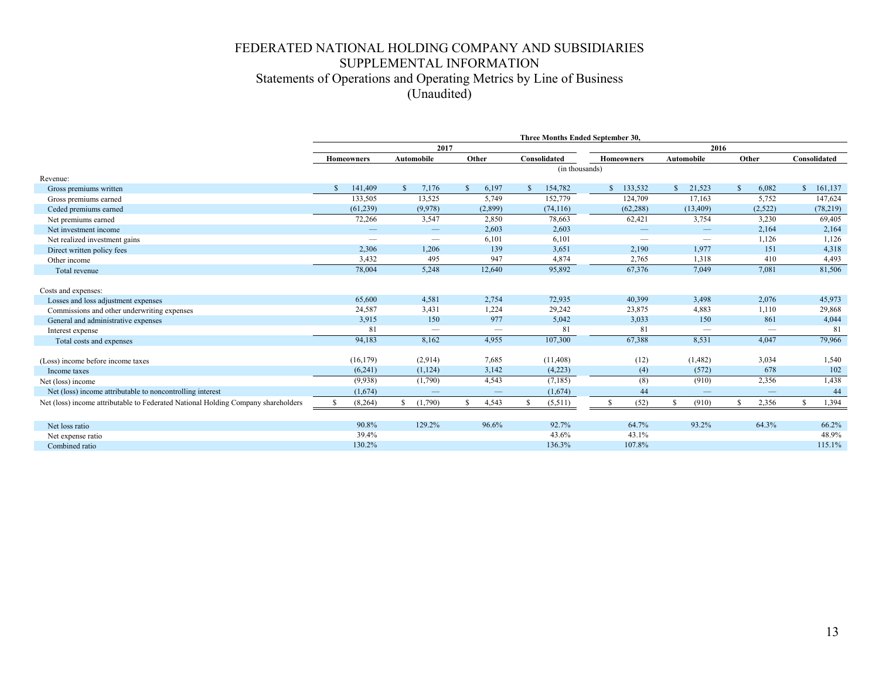#### FEDERATED NATIONAL HOLDING COMPANY AND SUBSIDIARIES SUPPLEMENTAL INFORMATION Statements of Operations and Operating Metrics by Line of Business (Unaudited)

|                                                                                   | Three Months Ended September 30, |                          |                          |                |                                 |                                |                          |               |
|-----------------------------------------------------------------------------------|----------------------------------|--------------------------|--------------------------|----------------|---------------------------------|--------------------------------|--------------------------|---------------|
|                                                                                   | 2017                             |                          |                          |                |                                 | 2016                           |                          |               |
|                                                                                   | <b>Homeowners</b>                | <b>Automobile</b>        | Other                    | Consolidated   | <b>Homeowners</b>               | <b>Automobile</b>              | Other                    | Consolidated  |
|                                                                                   |                                  |                          |                          | (in thousands) |                                 |                                |                          |               |
| Revenue:                                                                          |                                  |                          |                          |                |                                 |                                |                          |               |
| Gross premiums written                                                            | 141,409                          | 7,176<br><sup>\$</sup>   | 6,197                    | 154,782        | 133,532<br><sup>\$</sup>        | 21,523<br><sup>\$</sup>        | 6,082<br>$\mathbf{S}$    | 161,137<br>¢. |
| Gross premiums earned                                                             | 133,505                          | 13,525                   | 5,749                    | 152,779        | 124,709                         | 17,163                         | 5,752                    | 147,624       |
| Ceded premiums earned                                                             | (61,239)                         | (9,978)                  | (2,899)                  | (74, 116)      | (62, 288)                       | (13, 409)                      | (2,522)                  | (78, 219)     |
| Net premiums earned                                                               | 72,266                           | 3,547                    | 2,850                    | 78,663         | 62,421                          | 3,754                          | 3,230                    | 69,405        |
| Net investment income                                                             | $\hspace{0.1mm}-\hspace{0.1mm}$  | $\overline{\phantom{m}}$ | 2,603                    | 2,603          | $\hspace{0.1mm}-\hspace{0.1mm}$ | $\qquad \qquad \longleftarrow$ | 2,164                    | 2,164         |
| Net realized investment gains                                                     | $\overline{\phantom{m}}$         | $\hspace{0.05cm}$        | 6,101                    | 6,101          | $\overline{\phantom{m}}$        | $\hspace{0.05cm}$              | 1,126                    | 1,126         |
| Direct written policy fees                                                        | 2,306                            | 1,206                    | 139                      | 3,651          | 2,190                           | 1,977                          | 151                      | 4,318         |
| Other income                                                                      | 3,432                            | 495                      | 947                      | 4,874          | 2,765                           | 1,318                          | 410                      | 4,493         |
| Total revenue                                                                     | 78,004                           | 5,248                    | 12,640                   | 95,892         | 67,376                          | 7,049                          | 7,081                    | 81,506        |
| Costs and expenses:                                                               |                                  |                          |                          |                |                                 |                                |                          |               |
| Losses and loss adjustment expenses                                               | 65,600                           | 4,581                    | 2,754                    | 72,935         | 40,399                          | 3,498                          | 2,076                    | 45,973        |
| Commissions and other underwriting expenses                                       | 24,587                           | 3,431                    | 1,224                    | 29,242         | 23,875                          | 4,883                          | 1,110                    | 29,868        |
| General and administrative expenses                                               | 3,915                            | 150                      | 977                      | 5,042          | 3,033                           | 150                            | 861                      | 4,044         |
| Interest expense                                                                  | 81                               | $\overline{\phantom{m}}$ | $\overline{\phantom{m}}$ | 81             | 81                              | $\hspace{0.05cm}$              |                          | 81            |
| Total costs and expenses                                                          | 94,183                           | 8,162                    | 4,955                    | 107,300        | 67,388                          | 8,531                          | 4,047                    | 79,966        |
|                                                                                   |                                  |                          |                          |                |                                 |                                |                          |               |
| (Loss) income before income taxes                                                 | (16, 179)                        | (2,914)                  | 7,685                    | (11, 408)      | (12)                            | (1, 482)                       | 3,034                    | 1,540         |
| Income taxes                                                                      | (6,241)                          | (1, 124)                 | 3,142                    | (4,223)        | (4)                             | (572)                          | 678                      | 102           |
| Net (loss) income                                                                 | (9,938)                          | (1,790)                  | 4,543                    | (7,185)        | (8)                             | (910)                          | 2,356                    | 1,438         |
| Net (loss) income attributable to noncontrolling interest                         | (1,674)                          | $\frac{1}{2}$            | $\overline{\phantom{m}}$ | (1,674)        | 44                              | $\qquad \qquad -$              | $\overline{\phantom{m}}$ | 44            |
| Net (loss) income attributable to Federated National Holding Company shareholders | (8, 264)<br>- \$                 | (1,790)                  | 4,543<br>\$.             | (5,511)        | (52)                            | (910)<br>£.                    | 2,356<br>S.              | 1,394<br>\$.  |
|                                                                                   |                                  |                          |                          |                |                                 |                                |                          |               |
| Net loss ratio                                                                    | 90.8%                            | 129.2%                   | 96.6%                    | 92.7%          | 64.7%                           | 93.2%                          | 64.3%                    | 66.2%         |
| Net expense ratio                                                                 | 39.4%                            |                          |                          | 43.6%          | 43.1%                           |                                |                          | 48.9%         |
| Combined ratio                                                                    | 130.2%                           |                          |                          | 136.3%         | 107.8%                          |                                |                          | 115.1%        |